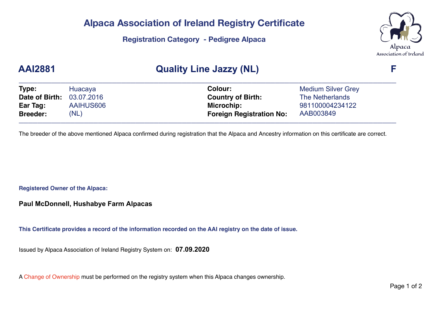#### **Alpaca Association of Ireland Registry Certificate**

#### **Registration Category - Pedigree Alpaca**



## **AAI2881 Quality Line Jazzy (NL) F**

| Type:                            | Huacaya   | <b>Colour:</b>                  | <b>Medium Silver Grey</b> |  |
|----------------------------------|-----------|---------------------------------|---------------------------|--|
| <b>Date of Birth: 03.07.2016</b> |           | <b>Country of Birth:</b>        | The Netherlands           |  |
| Ear Tag:                         | AAIHUS606 | Microchip:                      | 981100004234122           |  |
| <b>Breeder:</b>                  | (NL)      | <b>Foreign Registration No:</b> | AAB003849                 |  |

The breeder of the above mentioned Alpaca confirmed during registration that the Alpaca and Ancestry information on this certificate are correct.

**Registered Owner of the Alpaca:**

**Paul McDonnell, Hushabye Farm Alpacas**

**This Certificate provides a record of the information recorded on the AAI registry on the date of issue.**

Issued by Alpaca Association of Ireland Registry System on: **07.09.2020**

A Change of Ownership must be performed on the registry system when this Alpaca changes ownership.